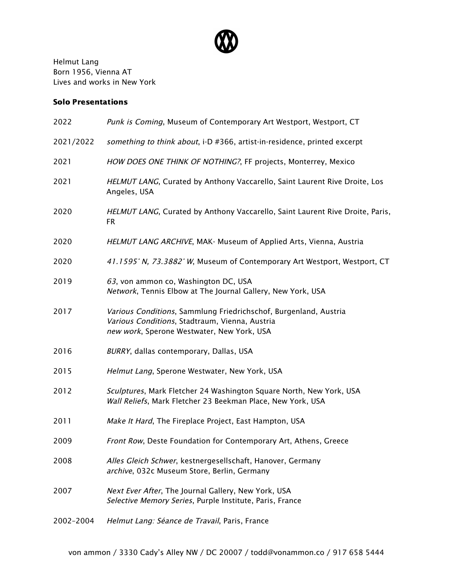

Helmut Lang Born 1956, Vienna AT Lives and works in New York

## Solo Presentations

| 2022      | Punk is Coming, Museum of Contemporary Art Westport, Westport, CT                                                                                                |
|-----------|------------------------------------------------------------------------------------------------------------------------------------------------------------------|
| 2021/2022 | something to think about, i-D #366, artist-in-residence, printed excerpt                                                                                         |
| 2021      | HOW DOES ONE THINK OF NOTHING?, FF projects, Monterrey, Mexico                                                                                                   |
| 2021      | HELMUT LANG, Curated by Anthony Vaccarello, Saint Laurent Rive Droite, Los<br>Angeles, USA                                                                       |
| 2020      | HELMUT LANG, Curated by Anthony Vaccarello, Saint Laurent Rive Droite, Paris,<br><b>FR</b>                                                                       |
| 2020      | HELMUT LANG ARCHIVE, MAK- Museum of Applied Arts, Vienna, Austria                                                                                                |
| 2020      | 41.1595° N, 73.3882° W, Museum of Contemporary Art Westport, Westport, CT                                                                                        |
| 2019      | 63, von ammon co, Washington DC, USA<br>Network, Tennis Elbow at The Journal Gallery, New York, USA                                                              |
| 2017      | Various Conditions, Sammlung Friedrichschof, Burgenland, Austria<br>Various Conditions, Stadtraum, Vienna, Austria<br>new work, Sperone Westwater, New York, USA |
| 2016      | BURRY, dallas contemporary, Dallas, USA                                                                                                                          |
| 2015      | Helmut Lang, Sperone Westwater, New York, USA                                                                                                                    |
| 2012      | Sculptures, Mark Fletcher 24 Washington Square North, New York, USA<br>Wall Reliefs, Mark Fletcher 23 Beekman Place, New York, USA                               |
| 2011      | Make It Hard, The Fireplace Project, East Hampton, USA                                                                                                           |
| 2009      | Front Row, Deste Foundation for Contemporary Art, Athens, Greece                                                                                                 |
| 2008      | Alles Gleich Schwer, kestnergesellschaft, Hanover, Germany<br>archive, 032c Museum Store, Berlin, Germany                                                        |
| 2007      | Next Ever After, The Journal Gallery, New York, USA<br>Selective Memory Series, Purple Institute, Paris, France                                                  |
| 2002-2004 | Helmut Lang: Séance de Travail, Paris, France                                                                                                                    |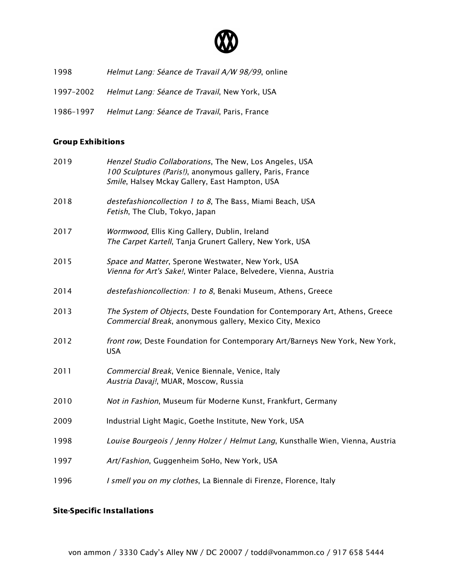

- 1998 Helmut Lang: Séance de Travail A/W 98/99, online
- 1997-2002 Helmut Lang: Séance de Travail, New York, USA
- 1986-1997 Helmut Lang: Séance de Travail, Paris, France

## Group Exhibitions

| 2019 | Henzel Studio Collaborations, The New, Los Angeles, USA<br>100 Sculptures (Paris!), anonymous gallery, Paris, France<br>Smile, Halsey Mckay Gallery, East Hampton, USA |
|------|------------------------------------------------------------------------------------------------------------------------------------------------------------------------|
| 2018 | destefashioncollection 1 to 8, The Bass, Miami Beach, USA<br>Fetish, The Club, Tokyo, Japan                                                                            |
| 2017 | Wormwood, Ellis King Gallery, Dublin, Ireland<br>The Carpet Kartell, Tanja Grunert Gallery, New York, USA                                                              |
| 2015 | Space and Matter, Sperone Westwater, New York, USA<br>Vienna for Art's Sake!, Winter Palace, Belvedere, Vienna, Austria                                                |
| 2014 | destefashioncollection: 1 to 8, Benaki Museum, Athens, Greece                                                                                                          |
| 2013 | The System of Objects, Deste Foundation for Contemporary Art, Athens, Greece<br>Commercial Break, anonymous gallery, Mexico City, Mexico                               |
| 2012 | front row, Deste Foundation for Contemporary Art/Barneys New York, New York,<br><b>USA</b>                                                                             |
| 2011 | Commercial Break, Venice Biennale, Venice, Italy<br>Austria Davaj!, MUAR, Moscow, Russia                                                                               |
| 2010 | Not in Fashion, Museum für Moderne Kunst, Frankfurt, Germany                                                                                                           |
| 2009 | Industrial Light Magic, Goethe Institute, New York, USA                                                                                                                |
| 1998 | Louise Bourgeois / Jenny Holzer / Helmut Lang, Kunsthalle Wien, Vienna, Austria                                                                                        |
| 1997 | Art/Fashion, Guggenheim SoHo, New York, USA                                                                                                                            |
| 1996 | I smell you on my clothes, La Biennale di Firenze, Florence, Italy                                                                                                     |

## Site-Specific Installations